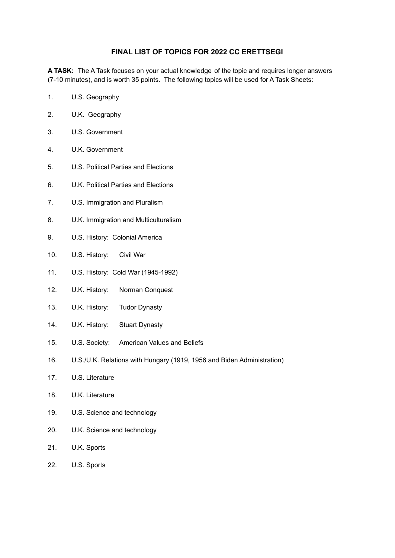## **FINAL LIST OF TOPICS FOR 2022 CC ERETTSEGI**

**A TASK:** The A Task focuses on your actual knowledge of the topic and requires longer answers (7-10 minutes), and is worth 35 points. The following topics will be used for A Task Sheets:

- 1. U.S. Geography
- 2. U.K. Geography
- 3. U.S. Government
- 4. U.K. Government
- 5. U.S. Political Parties and Elections
- 6. U.K. Political Parties and Elections
- 7. U.S. Immigration and Pluralism
- 8. U.K. Immigration and Multiculturalism
- 9. U.S. History: Colonial America
- 10. U.S. History: Civil War
- 11. U.S. History: Cold War (1945-1992)
- 12. U.K. History: Norman Conquest
- 13. U.K. History: Tudor Dynasty
- 14. U.K. History: Stuart Dynasty
- 15. U.S. Society: American Values and Beliefs
- 16. U.S./U.K. Relations with Hungary (1919, 1956 and Biden Administration)
- 17. U.S. Literature
- 18. U.K. Literature
- 19. U.S. Science and technology
- 20. U.K. Science and technology
- 21. U.K. Sports
- 22. U.S. Sports